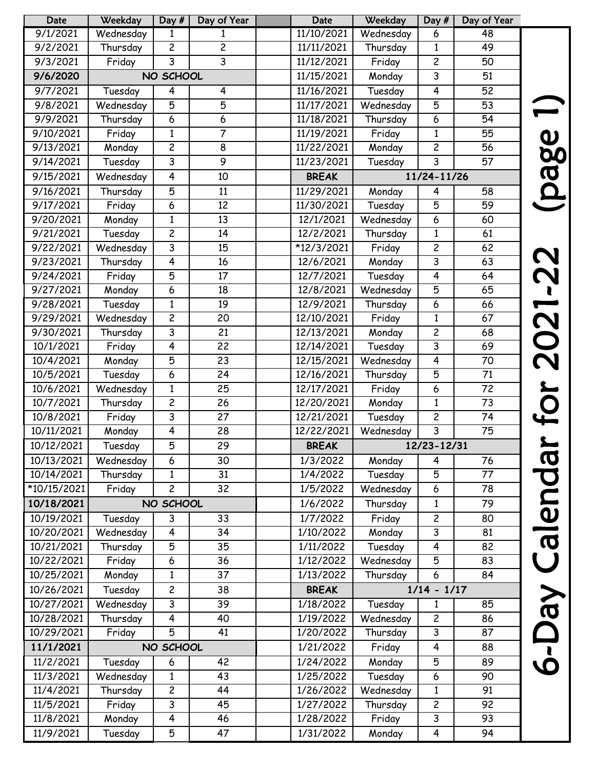| 9/1/2021<br>11/10/2021<br>Wednesday<br>Wednesday<br>$\mathbf{1}$<br>1<br>6                           | 48 |
|------------------------------------------------------------------------------------------------------|----|
|                                                                                                      |    |
| $\overline{2}$<br>Thursday<br>$\overline{c}$<br>Thursday<br>9/2/2021<br>11/11/2021<br>$\mathbf{1}$   | 49 |
| $\overline{3}$<br>$\overline{3}$<br>11/12/2021<br>$\overline{c}$<br>9/3/2021<br>Friday<br>Friday     | 50 |
| 3<br>NO SCHOOL<br>11/15/2021<br>9/6/2020<br>Monday                                                   | 51 |
| 11/16/2021<br>Tuesday<br>9/7/2021<br>$\overline{4}$<br>4<br>Tuesday<br>4                             | 52 |
| $\overline{5}$<br>5<br>9/8/2021<br>Wednesday<br>11/17/2021<br>Wednesday<br>5                         | 53 |
| 6<br>9/9/2021<br>Thursday<br>11/18/2021<br>Thursday<br>6<br>6                                        | 54 |
| $\overline{7}$<br>9/10/2021<br>$\mathbf{1}$<br>11/19/2021<br>Friday<br>Friday<br>$\mathbf{1}$        | 55 |
| $\overline{2}$<br>$\overline{2}$<br>9/13/2021<br>Monday<br>8<br>11/22/2021<br>Monday                 | 56 |
| 9<br>3<br>9/14/2021<br>3<br>11/23/2021<br>Tuesday<br>Tuesday                                         | 57 |
| 4<br>9/15/2021<br>Wednesday<br>10<br><b>BREAK</b><br>11/24-11/26                                     |    |
| $\overline{5}$<br>9/16/2021<br>Thursday<br>11/29/2021<br>11<br>4<br>Monday                           | 58 |
| 9/17/2021<br>Friday<br>6<br>12<br>11/30/2021<br>5<br>Tuesday                                         | 59 |
| 9/20/2021<br>Monday<br>$\mathbf{1}$<br>13<br>12/1/2021<br>Wednesday<br>6                             | 60 |
| $\overline{c}$<br>12/2/2021<br>9/21/2021<br>Tuesday<br>14<br>Thursday<br>1                           | 61 |
| $\overline{3}$<br>*12/3/2021<br>$\overline{2}$<br>9/22/2021<br>Wednesday<br>15<br>Friday             | 62 |
| 3<br>9/23/2021<br>Thursday<br>4<br>12/6/2021<br>16<br>Monday                                         | 63 |
| $\overline{5}$<br>9/24/2021<br>Friday<br>17<br>12/7/2021<br>Tuesday<br>4                             | 64 |
| 9/27/2021<br>6<br>18<br>12/8/2021<br>Wednesday<br>5<br>Monday                                        | 65 |
| Tuesday<br>12/9/2021<br>Thursday<br>9/28/2021<br>$\mathbf{1}$<br>19<br>6                             | 66 |
| 2<br>9/29/2021<br>Wednesday<br>20<br>12/10/2021<br>$\mathbf{1}$<br>Friday                            | 67 |
| $\overline{3}$<br>9/30/2021<br>21<br>12/13/2021<br>$\overline{c}$<br>Thursday<br>Monday              | 68 |
| $\overline{3}$<br>$\overline{4}$<br>$\overline{22}$<br>10/1/2021<br>12/14/2021<br>Tuesday<br>Friday  | 69 |
| 5<br>10/4/2021<br>Monday<br>12/15/2021<br>Wednesday<br>4<br>23                                       | 70 |
| 10/5/2021<br>6<br>24<br>12/16/2021<br>5<br>Tuesday<br>Thursday                                       | 71 |
| 12/17/2021<br>10/6/2021<br>Wednesday<br>$\mathbf{1}$<br>25<br>Friday<br>6                            | 72 |
| $\overline{2}$<br>10/7/2021<br>Thursday<br>26<br>12/20/2021<br>$\mathbf{1}$<br>Monday                | 73 |
| $\overline{3}$<br>$\overline{27}$<br>$\overline{2}$<br>10/8/2021<br>12/21/2021<br>Tuesday<br>Friday  | 74 |
| $\overline{3}$<br>10/11/2021<br>12/22/2021<br>Monday<br>4<br>28<br>Wednesday                         | 75 |
| 5<br>29<br>10/12/2021<br><b>BREAK</b><br>12/23-12/31<br>Tuesday                                      |    |
| 6<br>10/13/2021<br>Wednesday<br>30<br>1/3/2022<br>Monday<br>4                                        | 76 |
| Tuesday<br>$\overline{5}$<br>10/14/2021<br>Thursday<br>$\mathbf{1}$<br>31<br>1/4/2022                | 77 |
| *10/15/2021<br>$\overline{c}$<br>32<br>Friday<br>1/5/2022<br>Wednesday<br>6                          | 78 |
| 10/18/2021<br>NO SCHOOL<br>1/6/2022<br>Thursday<br>$\mathbf{1}$                                      | 79 |
| 10/19/2021<br>1/7/2022<br>Friday<br>$\overline{c}$<br>33<br>Tuesday<br>3                             | 80 |
| 10/20/2021<br>$\overline{4}$<br>1/10/2022<br>3<br>Wednesday<br>34<br>Monday                          | 81 |
| Tuesday<br>10/21/2021<br>Thursday<br>5<br>35<br>1/11/2022<br>4                                       | 82 |
| 10/22/2021<br>Friday<br>6<br>1/12/2022<br>Wednesday<br>5<br>36                                       | 83 |
| $\overline{37}$<br>10/25/2021<br>Monday<br>$\mathbf{1}$<br>1/13/2022<br>Thursday<br>6                | 84 |
| Tuesday<br>10/26/2021<br>$\overline{c}$<br><b>BREAK</b><br>$1/14 - 1/17$<br>38                       |    |
| 10/27/2021<br>Wednesday<br>3<br>1/18/2022<br>39<br>Tuesday<br>$\mathbf{1}$                           | 85 |
| Thursday<br>Wednesday<br>10/28/2021<br>4<br>40<br>1/19/2022<br>$\overline{c}$                        | 86 |
| $\overline{3}$<br>$\overline{5}$<br>10/29/2021<br>41<br>1/20/2022<br>Friday<br>Thursday              | 87 |
| 11/1/2021<br>NO SCHOOL<br>1/21/2022<br>Friday<br>4                                                   | 88 |
| 1/24/2022<br>Monday<br>$\overline{5}$<br>11/2/2021<br>Tuesday<br>6<br>42                             | 89 |
| 11/3/2021<br>Wednesday<br>1/25/2022<br>Tuesday<br>$\mathbf{1}$<br>43<br>6                            | 90 |
| $\overline{2}$<br>$\overline{44}$<br>1/26/2022<br>Wednesday<br>$\mathbf{1}$<br>11/4/2021<br>Thursday | 91 |
| 3<br>$\overline{11}/\overline{5}/2021$<br>Friday<br>1/27/2022<br>Thursday<br>$\overline{c}$<br>45    | 92 |
| $\overline{4}$<br>$\overline{\mathbf{3}}$<br>11/8/2021<br>Monday<br>46<br>1/28/2022<br>Friday        | 93 |
| 1/31/2022<br>11/9/2021<br>5<br>Tuesday<br>47<br>Monday<br>4                                          | 94 |